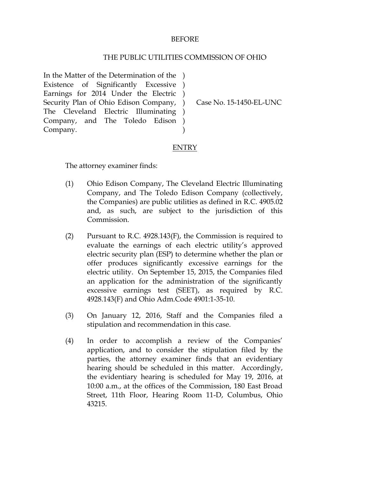## BEFORE

## THE PUBLIC UTILITIES COMMISSION OF OHIO

In the Matter of the Determination of the ) Existence of Significantly Excessive ) Earnings for 2014 Under the Electric ) Security Plan of Ohio Edison Company, ) The Cleveland Electric Illuminating ) Company, and The Toledo Edison ) Company. )

Case No. 15-1450-EL-UNC

## ENTRY

The attorney examiner finds:

- (1) Ohio Edison Company, The Cleveland Electric Illuminating Company, and The Toledo Edison Company (collectively, the Companies) are public utilities as defined in R.C. 4905.02 and, as such, are subject to the jurisdiction of this Commission.
- (2) Pursuant to R.C. 4928.143(F), the Commission is required to evaluate the earnings of each electric utility's approved electric security plan (ESP) to determine whether the plan or offer produces significantly excessive earnings for the electric utility. On September 15, 2015, the Companies filed an application for the administration of the significantly excessive earnings test (SEET), as required by R.C. 4928.143(F) and Ohio Adm.Code 4901:1-35-10.
- (3) On January 12, 2016, Staff and the Companies filed a stipulation and recommendation in this case.
- (4) In order to accomplish a review of the Companies' application, and to consider the stipulation filed by the parties, the attorney examiner finds that an evidentiary hearing should be scheduled in this matter. Accordingly, the evidentiary hearing is scheduled for May 19, 2016, at 10:00 a.m., at the offices of the Commission, 180 East Broad Street, 11th Floor, Hearing Room 11-D, Columbus, Ohio 43215.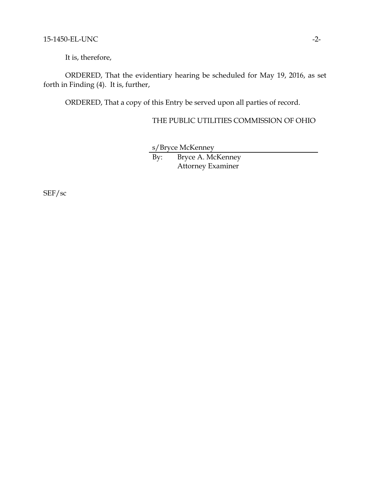It is, therefore,

ORDERED, That the evidentiary hearing be scheduled for May 19, 2016, as set forth in Finding (4). It is, further,

ORDERED, That a copy of this Entry be served upon all parties of record.

THE PUBLIC UTILITIES COMMISSION OF OHIO

s/Bryce McKenney By: Bryce A. McKenney Attorney Examiner

SEF/sc